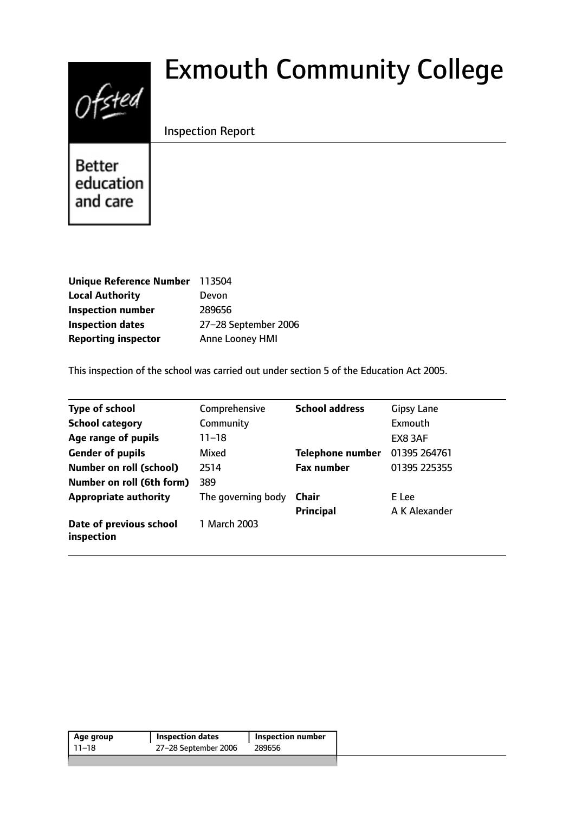# Ofsted

# Exmouth Community College

# Inspection Report

**Better** education and care

| Unique Reference Number 113504 |                        |
|--------------------------------|------------------------|
| <b>Local Authority</b>         | Devon                  |
| <b>Inspection number</b>       | 289656                 |
| <b>Inspection dates</b>        | 27-28 September 2006   |
| <b>Reporting inspector</b>     | <b>Anne Looney HMI</b> |

This inspection of the school was carried out under section 5 of the Education Act 2005.

| <b>Type of school</b>                 | Comprehensive      | <b>School address</b>   | <b>Gipsy Lane</b> |
|---------------------------------------|--------------------|-------------------------|-------------------|
| <b>School category</b>                | Community          |                         | Exmouth           |
| Age range of pupils                   | 11–18              |                         | EX8 3AF           |
| <b>Gender of pupils</b>               | Mixed              | <b>Telephone number</b> | 01395 264761      |
| <b>Number on roll (school)</b>        | 2514               | <b>Fax number</b>       | 01395 225355      |
| Number on roll (6th form)             | 389                |                         |                   |
| <b>Appropriate authority</b>          | The governing body | Chair                   | E Lee             |
|                                       |                    | Principal               | A K Alexander     |
| Date of previous school<br>inspection | 1 March 2003       |                         |                   |

| 27-28 September 2006<br>11–18<br>289656 | Age group | <b>Inspection dates</b> | <b>Inspection number</b> |
|-----------------------------------------|-----------|-------------------------|--------------------------|
|                                         |           |                         |                          |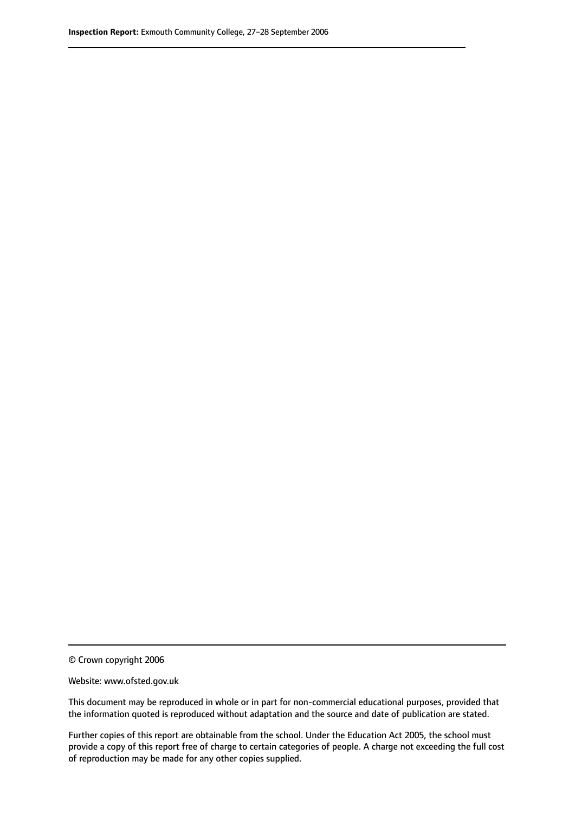© Crown copyright 2006

Website: www.ofsted.gov.uk

This document may be reproduced in whole or in part for non-commercial educational purposes, provided that the information quoted is reproduced without adaptation and the source and date of publication are stated.

Further copies of this report are obtainable from the school. Under the Education Act 2005, the school must provide a copy of this report free of charge to certain categories of people. A charge not exceeding the full cost of reproduction may be made for any other copies supplied.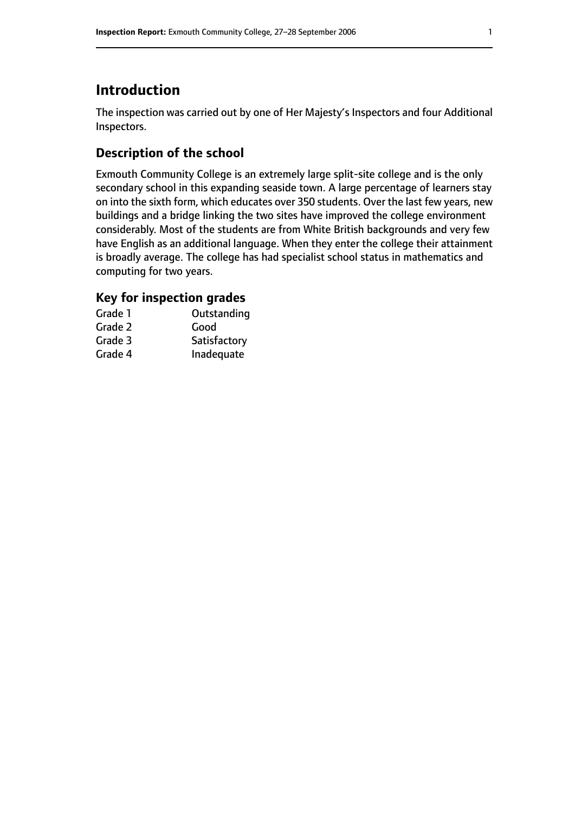# **Introduction**

The inspection was carried out by one of Her Majesty's Inspectors and four Additional Inspectors.

# **Description of the school**

Exmouth Community College is an extremely large split-site college and is the only secondary school in this expanding seaside town. A large percentage of learners stay on into the sixth form, which educates over 350 students. Over the last few years, new buildings and a bridge linking the two sites have improved the college environment considerably. Most of the students are from White British backgrounds and very few have English as an additional language. When they enter the college their attainment is broadly average. The college has had specialist school status in mathematics and computing for two years.

# **Key for inspection grades**

| Grade 1 | Outstanding  |
|---------|--------------|
| Grade 2 | Good         |
| Grade 3 | Satisfactory |
| Grade 4 | Inadequate   |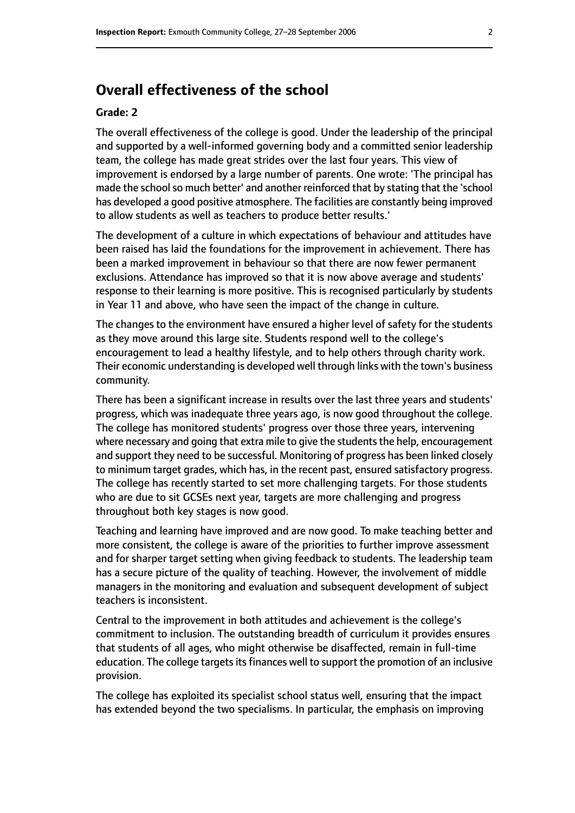# **Overall effectiveness of the school**

#### **Grade: 2**

The overall effectiveness of the college is good. Under the leadership of the principal and supported by a well-informed governing body and a committed senior leadership team, the college has made great strides over the last four years. This view of improvement is endorsed by a large number of parents. One wrote: 'The principal has made the school so much better' and another reinforced that by stating that the 'school has developed a good positive atmosphere. The facilities are constantly being improved to allow students as well as teachers to produce better results.'

The development of a culture in which expectations of behaviour and attitudes have been raised has laid the foundations for the improvement in achievement. There has been a marked improvement in behaviour so that there are now fewer permanent exclusions. Attendance has improved so that it is now above average and students' response to their learning is more positive. This is recognised particularly by students in Year 11 and above, who have seen the impact of the change in culture.

The changes to the environment have ensured a higher level of safety for the students as they move around this large site. Students respond well to the college's encouragement to lead a healthy lifestyle, and to help others through charity work. Their economic understanding is developed well through links with the town's business community.

There has been a significant increase in results over the last three years and students' progress, which was inadequate three years ago, is now good throughout the college. The college has monitored students' progress over those three years, intervening where necessary and going that extra mile to give the students the help, encouragement and support they need to be successful. Monitoring of progress has been linked closely to minimum target grades, which has, in the recent past, ensured satisfactory progress. The college has recently started to set more challenging targets. For those students who are due to sit GCSEs next year, targets are more challenging and progress throughout both key stages is now good.

Teaching and learning have improved and are now good. To make teaching better and more consistent, the college is aware of the priorities to further improve assessment and for sharper target setting when giving feedback to students. The leadership team has a secure picture of the quality of teaching. However, the involvement of middle managers in the monitoring and evaluation and subsequent development of subject teachers is inconsistent.

Central to the improvement in both attitudes and achievement is the college's commitment to inclusion. The outstanding breadth of curriculum it provides ensures that students of all ages, who might otherwise be disaffected, remain in full-time education. The college targets its finances well to support the promotion of an inclusive provision.

The college has exploited its specialist school status well, ensuring that the impact has extended beyond the two specialisms. In particular, the emphasis on improving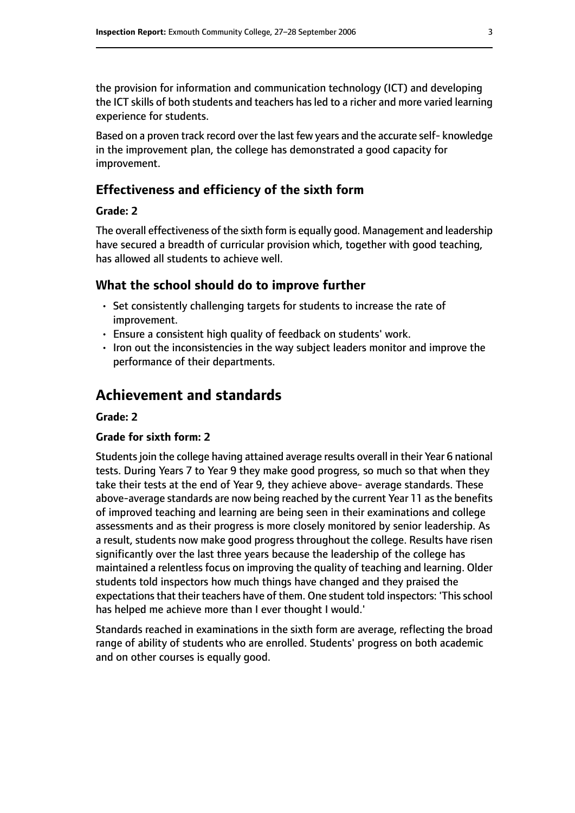the provision for information and communication technology (ICT) and developing the ICT skills of both students and teachers has led to a richer and more varied learning experience for students.

Based on a proven track record over the last few years and the accurate self- knowledge in the improvement plan, the college has demonstrated a good capacity for improvement.

#### **Effectiveness and efficiency of the sixth form**

#### **Grade: 2**

The overall effectiveness of the sixth form is equally good. Management and leadership have secured a breadth of curricular provision which, together with good teaching, has allowed all students to achieve well.

#### **What the school should do to improve further**

- Set consistently challenging targets for students to increase the rate of improvement.
- Ensure a consistent high quality of feedback on students' work.
- Iron out the inconsistencies in the way subject leaders monitor and improve the performance of their departments.

# **Achievement and standards**

#### **Grade: 2**

#### **Grade for sixth form: 2**

Studentsjoin the college having attained average results overall in their Year 6 national tests. During Years 7 to Year 9 they make good progress, so much so that when they take their tests at the end of Year 9, they achieve above- average standards. These above-average standards are now being reached by the current Year 11 as the benefits of improved teaching and learning are being seen in their examinations and college assessments and as their progress is more closely monitored by senior leadership. As a result, students now make good progress throughout the college. Results have risen significantly over the last three years because the leadership of the college has maintained a relentless focus on improving the quality of teaching and learning. Older students told inspectors how much things have changed and they praised the expectations that their teachers have of them. One student told inspectors: 'This school has helped me achieve more than I ever thought I would.'

Standards reached in examinations in the sixth form are average, reflecting the broad range of ability of students who are enrolled. Students' progress on both academic and on other courses is equally good.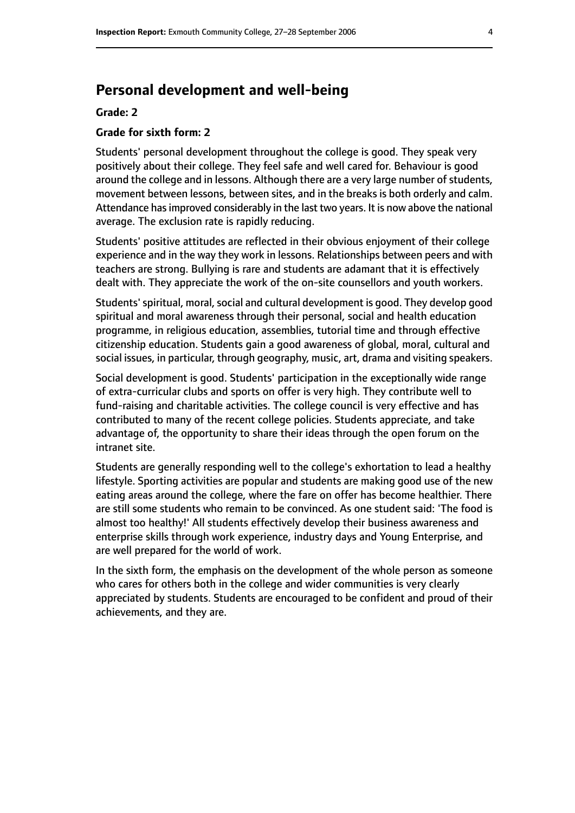# **Personal development and well-being**

#### **Grade: 2**

#### **Grade for sixth form: 2**

Students' personal development throughout the college is good. They speak very positively about their college. They feel safe and well cared for. Behaviour is good around the college and in lessons. Although there are a very large number of students, movement between lessons, between sites, and in the breaks is both orderly and calm. Attendance has improved considerably in the last two years. It is now above the national average. The exclusion rate is rapidly reducing.

Students' positive attitudes are reflected in their obvious enjoyment of their college experience and in the way they work in lessons. Relationships between peers and with teachers are strong. Bullying is rare and students are adamant that it is effectively dealt with. They appreciate the work of the on-site counsellors and youth workers.

Students' spiritual, moral, social and cultural development is good. They develop good spiritual and moral awareness through their personal, social and health education programme, in religious education, assemblies, tutorial time and through effective citizenship education. Students gain a good awareness of global, moral, cultural and social issues, in particular, through geography, music, art, drama and visiting speakers.

Social development is good. Students' participation in the exceptionally wide range of extra-curricular clubs and sports on offer is very high. They contribute well to fund-raising and charitable activities. The college council is very effective and has contributed to many of the recent college policies. Students appreciate, and take advantage of, the opportunity to share their ideas through the open forum on the intranet site.

Students are generally responding well to the college's exhortation to lead a healthy lifestyle. Sporting activities are popular and students are making good use of the new eating areas around the college, where the fare on offer has become healthier. There are still some students who remain to be convinced. As one student said: 'The food is almost too healthy!' All students effectively develop their business awareness and enterprise skills through work experience, industry days and Young Enterprise, and are well prepared for the world of work.

In the sixth form, the emphasis on the development of the whole person as someone who cares for others both in the college and wider communities is very clearly appreciated by students. Students are encouraged to be confident and proud of their achievements, and they are.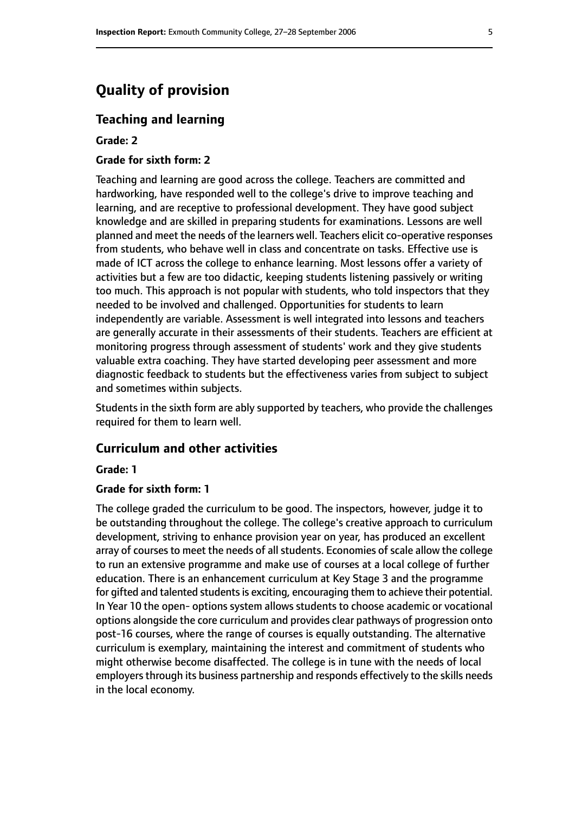# **Quality of provision**

#### **Teaching and learning**

#### **Grade: 2**

#### **Grade for sixth form: 2**

Teaching and learning are good across the college. Teachers are committed and hardworking, have responded well to the college's drive to improve teaching and learning, and are receptive to professional development. They have good subject knowledge and are skilled in preparing students for examinations. Lessons are well planned and meet the needs of the learners well. Teachers elicit co-operative responses from students, who behave well in class and concentrate on tasks. Effective use is made of ICT across the college to enhance learning. Most lessons offer a variety of activities but a few are too didactic, keeping students listening passively or writing too much. This approach is not popular with students, who told inspectors that they needed to be involved and challenged. Opportunities for students to learn independently are variable. Assessment is well integrated into lessons and teachers are generally accurate in their assessments of their students. Teachers are efficient at monitoring progress through assessment of students' work and they give students valuable extra coaching. They have started developing peer assessment and more diagnostic feedback to students but the effectiveness varies from subject to subject and sometimes within subjects.

Students in the sixth form are ably supported by teachers, who provide the challenges required for them to learn well.

#### **Curriculum and other activities**

#### **Grade: 1**

#### **Grade for sixth form: 1**

The college graded the curriculum to be good. The inspectors, however, judge it to be outstanding throughout the college. The college's creative approach to curriculum development, striving to enhance provision year on year, has produced an excellent array of courses to meet the needs of all students. Economies of scale allow the college to run an extensive programme and make use of courses at a local college of further education. There is an enhancement curriculum at Key Stage 3 and the programme for gifted and talented students is exciting, encouraging them to achieve their potential. In Year 10 the open- options system allows students to choose academic or vocational options alongside the core curriculum and provides clear pathways of progression onto post-16 courses, where the range of courses is equally outstanding. The alternative curriculum is exemplary, maintaining the interest and commitment of students who might otherwise become disaffected. The college is in tune with the needs of local employers through its business partnership and responds effectively to the skills needs in the local economy.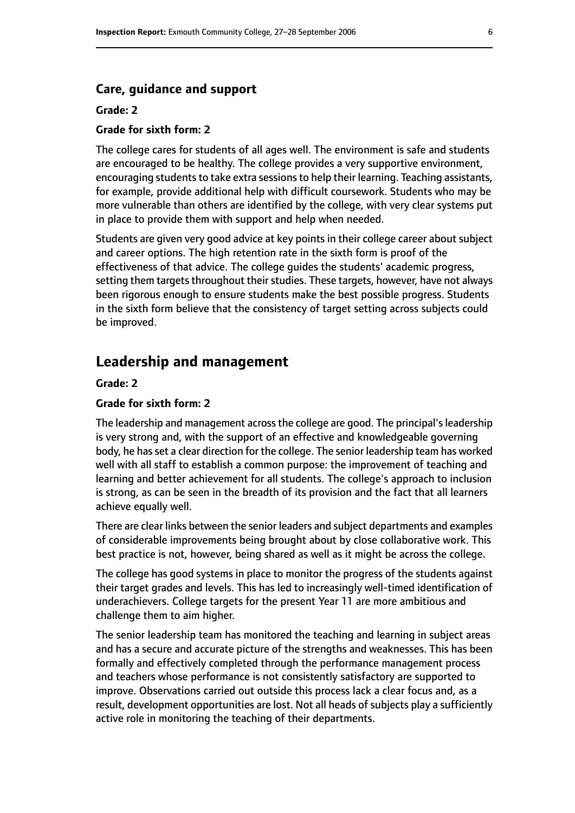#### **Care, guidance and support**

#### **Grade: 2**

#### **Grade for sixth form: 2**

The college cares for students of all ages well. The environment is safe and students are encouraged to be healthy. The college provides a very supportive environment, encouraging students to take extra sessions to help their learning. Teaching assistants, for example, provide additional help with difficult coursework. Students who may be more vulnerable than others are identified by the college, with very clear systems put in place to provide them with support and help when needed.

Students are given very good advice at key points in their college career about subject and career options. The high retention rate in the sixth form is proof of the effectiveness of that advice. The college guides the students' academic progress, setting them targets throughout their studies. These targets, however, have not always been rigorous enough to ensure students make the best possible progress. Students in the sixth form believe that the consistency of target setting across subjects could be improved.

### **Leadership and management**

**Grade: 2**

#### **Grade for sixth form: 2**

The leadership and management across the college are good. The principal's leadership is very strong and, with the support of an effective and knowledgeable governing body, he has set a clear direction for the college. The senior leadership team has worked well with all staff to establish a common purpose: the improvement of teaching and learning and better achievement for all students. The college's approach to inclusion is strong, as can be seen in the breadth of its provision and the fact that all learners achieve equally well.

There are clear links between the senior leaders and subject departments and examples of considerable improvements being brought about by close collaborative work. This best practice is not, however, being shared as well as it might be across the college.

The college has good systems in place to monitor the progress of the students against their target grades and levels. This has led to increasingly well-timed identification of underachievers. College targets for the present Year 11 are more ambitious and challenge them to aim higher.

The senior leadership team has monitored the teaching and learning in subject areas and has a secure and accurate picture of the strengths and weaknesses. This has been formally and effectively completed through the performance management process and teachers whose performance is not consistently satisfactory are supported to improve. Observations carried out outside this process lack a clear focus and, as a result, development opportunities are lost. Not all heads of subjects play a sufficiently active role in monitoring the teaching of their departments.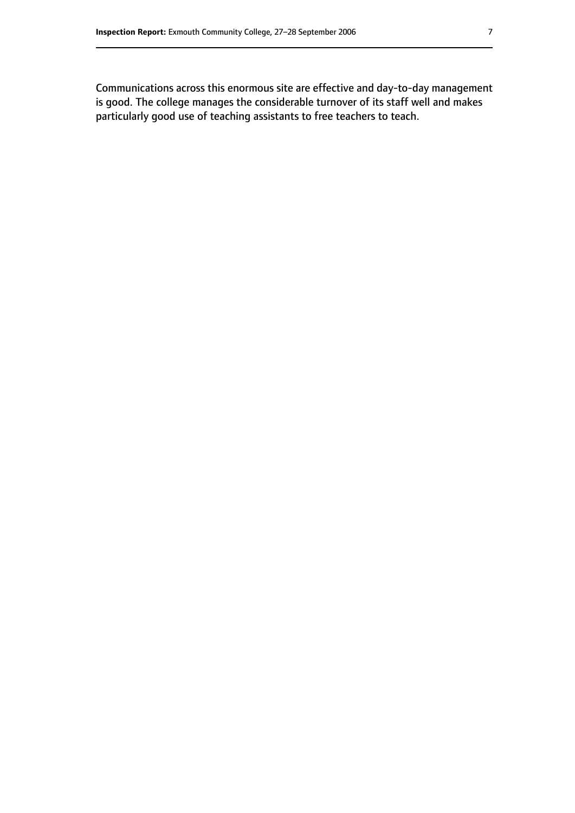Communications across this enormous site are effective and day-to-day management is good. The college manages the considerable turnover of its staff well and makes particularly good use of teaching assistants to free teachers to teach.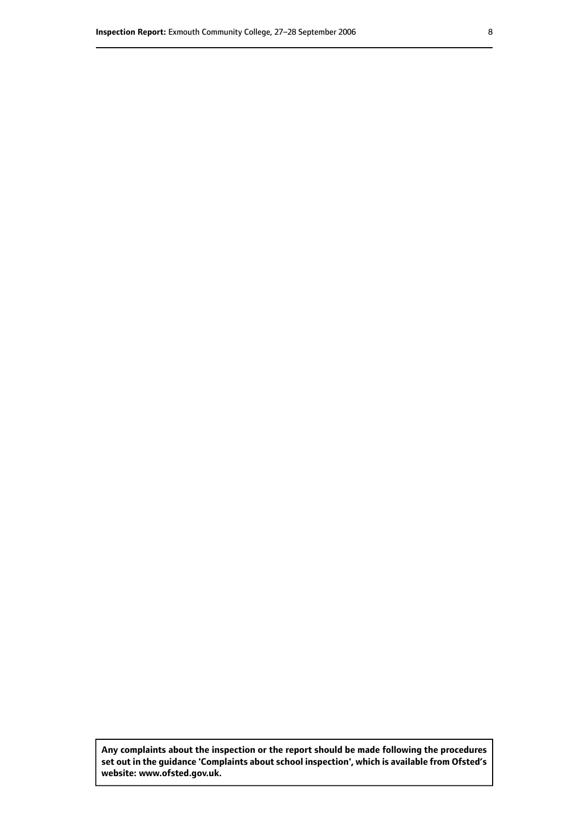**Any complaints about the inspection or the report should be made following the procedures set out inthe guidance 'Complaints about school inspection', whichis available from Ofsted's website: www.ofsted.gov.uk.**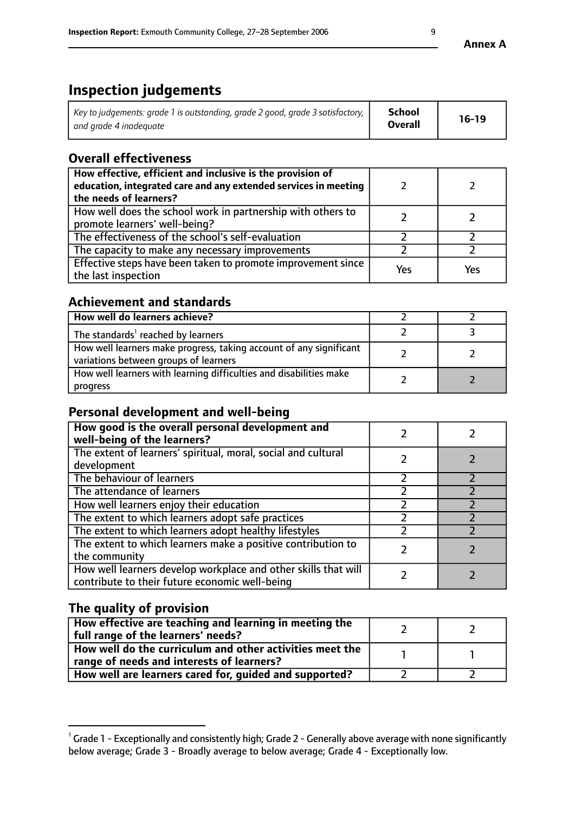# **Inspection judgements**

| Key to judgements: grade 1 is outstanding, grade 2 good, grade 3 satisfactory, $\mid$ | School         | $16-19$ |
|---------------------------------------------------------------------------------------|----------------|---------|
| and grade 4 inadeguate                                                                | <b>Overall</b> |         |

# **Overall effectiveness**

| How effective, efficient and inclusive is the provision of<br>education, integrated care and any extended services in meeting<br>the needs of learners? |     |     |
|---------------------------------------------------------------------------------------------------------------------------------------------------------|-----|-----|
| How well does the school work in partnership with others to<br>promote learners' well-being?                                                            |     |     |
| The effectiveness of the school's self-evaluation                                                                                                       |     |     |
| The capacity to make any necessary improvements                                                                                                         |     |     |
| Effective steps have been taken to promote improvement since<br>the last inspection                                                                     | Yes | Yes |

# **Achievement and standards**

| How well do learners achieve?                                                                               |  |
|-------------------------------------------------------------------------------------------------------------|--|
| The standards <sup>1</sup> reached by learners                                                              |  |
| How well learners make progress, taking account of any significant<br>variations between groups of learners |  |
| How well learners with learning difficulties and disabilities make<br>progress                              |  |

# **Personal development and well-being**

| How good is the overall personal development and<br>well-being of the learners?                                  |  |
|------------------------------------------------------------------------------------------------------------------|--|
| The extent of learners' spiritual, moral, social and cultural<br>development                                     |  |
| The behaviour of learners                                                                                        |  |
| The attendance of learners                                                                                       |  |
| How well learners enjoy their education                                                                          |  |
| The extent to which learners adopt safe practices                                                                |  |
| The extent to which learners adopt healthy lifestyles                                                            |  |
| The extent to which learners make a positive contribution to<br>the community                                    |  |
| How well learners develop workplace and other skills that will<br>contribute to their future economic well-being |  |

# **The quality of provision**

| How effective are teaching and learning in meeting the<br>full range of the learners' needs?          |  |
|-------------------------------------------------------------------------------------------------------|--|
| How well do the curriculum and other activities meet the<br>range of needs and interests of learners? |  |
| How well are learners cared for, guided and supported?                                                |  |

 $^1$  Grade 1 - Exceptionally and consistently high; Grade 2 - Generally above average with none significantly below average; Grade 3 - Broadly average to below average; Grade 4 - Exceptionally low.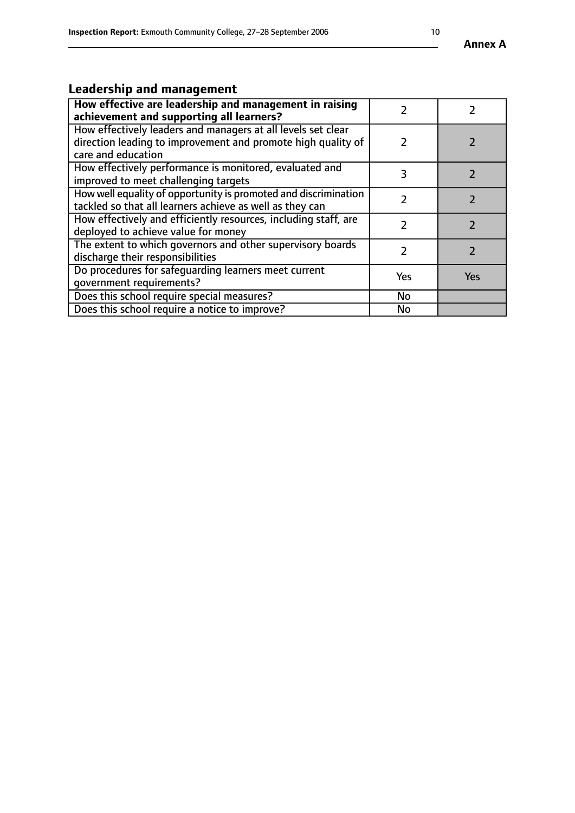# **Leadership and management**

| How effective are leadership and management in raising<br>achievement and supporting all learners?                                                 |     |            |
|----------------------------------------------------------------------------------------------------------------------------------------------------|-----|------------|
| How effectively leaders and managers at all levels set clear<br>direction leading to improvement and promote high quality of<br>care and education |     |            |
| How effectively performance is monitored, evaluated and<br>improved to meet challenging targets                                                    | 3   |            |
| How well equality of opportunity is promoted and discrimination<br>tackled so that all learners achieve as well as they can                        |     |            |
| How effectively and efficiently resources, including staff, are<br>deployed to achieve value for money                                             |     |            |
| The extent to which governors and other supervisory boards<br>discharge their responsibilities                                                     |     |            |
| Do procedures for safeguarding learners meet current<br>qovernment requirements?                                                                   | Yes | <b>Yes</b> |
| Does this school require special measures?                                                                                                         | No  |            |
| Does this school require a notice to improve?                                                                                                      | No  |            |